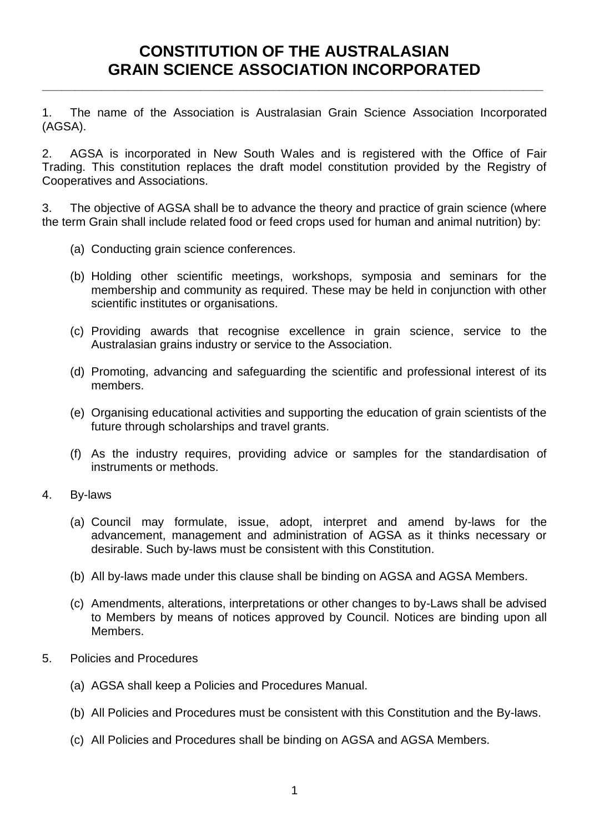## **CONSTITUTION OF THE AUSTRALASIAN GRAIN SCIENCE ASSOCIATION INCORPORATED**

**\_\_\_\_\_\_\_\_\_\_\_\_\_\_\_\_\_\_\_\_\_\_\_\_\_\_\_\_\_\_\_\_\_\_\_\_\_\_\_\_\_\_\_\_\_\_\_\_\_\_\_\_\_\_\_\_\_\_\_\_\_\_\_\_\_\_\_\_\_\_\_\_\_\_\_\_**

1. The name of the Association is Australasian Grain Science Association Incorporated (AGSA).

2. AGSA is incorporated in New South Wales and is registered with the Office of Fair Trading. This constitution replaces the draft model constitution provided by the Registry of Cooperatives and Associations.

3. The objective of AGSA shall be to advance the theory and practice of grain science (where the term Grain shall include related food or feed crops used for human and animal nutrition) by:

- (a) Conducting grain science conferences.
- (b) Holding other scientific meetings, workshops, symposia and seminars for the membership and community as required. These may be held in conjunction with other scientific institutes or organisations.
- (c) Providing awards that recognise excellence in grain science, service to the Australasian grains industry or service to the Association.
- (d) Promoting, advancing and safeguarding the scientific and professional interest of its members.
- (e) Organising educational activities and supporting the education of grain scientists of the future through scholarships and travel grants.
- (f) As the industry requires, providing advice or samples for the standardisation of instruments or methods.
- 4. By-laws
	- (a) Council may formulate, issue, adopt, interpret and amend by-laws for the advancement, management and administration of AGSA as it thinks necessary or desirable. Such by-laws must be consistent with this Constitution.
	- (b) All by-laws made under this clause shall be binding on AGSA and AGSA Members.
	- (c) Amendments, alterations, interpretations or other changes to by-Laws shall be advised to Members by means of notices approved by Council. Notices are binding upon all Members.
- 5. Policies and Procedures
	- (a) AGSA shall keep a Policies and Procedures Manual.
	- (b) All Policies and Procedures must be consistent with this Constitution and the By-laws.
	- (c) All Policies and Procedures shall be binding on AGSA and AGSA Members.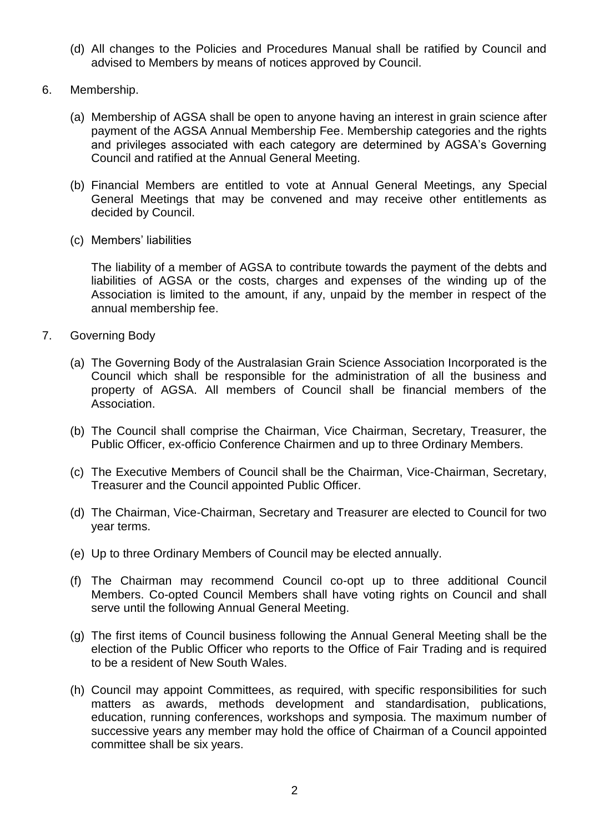- (d) All changes to the Policies and Procedures Manual shall be ratified by Council and advised to Members by means of notices approved by Council.
- 6. Membership.
	- (a) Membership of AGSA shall be open to anyone having an interest in grain science after payment of the AGSA Annual Membership Fee. Membership categories and the rights and privileges associated with each category are determined by AGSA's Governing Council and ratified at the Annual General Meeting.
	- (b) Financial Members are entitled to vote at Annual General Meetings, any Special General Meetings that may be convened and may receive other entitlements as decided by Council.
	- (c) Members' liabilities

The liability of a member of AGSA to contribute towards the payment of the debts and liabilities of AGSA or the costs, charges and expenses of the winding up of the Association is limited to the amount, if any, unpaid by the member in respect of the annual membership fee.

- 7. Governing Body
	- (a) The Governing Body of the Australasian Grain Science Association Incorporated is the Council which shall be responsible for the administration of all the business and property of AGSA. All members of Council shall be financial members of the Association.
	- (b) The Council shall comprise the Chairman, Vice Chairman, Secretary, Treasurer, the Public Officer, ex-officio Conference Chairmen and up to three Ordinary Members.
	- (c) The Executive Members of Council shall be the Chairman, Vice-Chairman, Secretary, Treasurer and the Council appointed Public Officer.
	- (d) The Chairman, Vice-Chairman, Secretary and Treasurer are elected to Council for two year terms.
	- (e) Up to three Ordinary Members of Council may be elected annually.
	- (f) The Chairman may recommend Council co-opt up to three additional Council Members. Co-opted Council Members shall have voting rights on Council and shall serve until the following Annual General Meeting.
	- (g) The first items of Council business following the Annual General Meeting shall be the election of the Public Officer who reports to the Office of Fair Trading and is required to be a resident of New South Wales.
	- (h) Council may appoint Committees, as required, with specific responsibilities for such matters as awards, methods development and standardisation, publications, education, running conferences, workshops and symposia. The maximum number of successive years any member may hold the office of Chairman of a Council appointed committee shall be six years.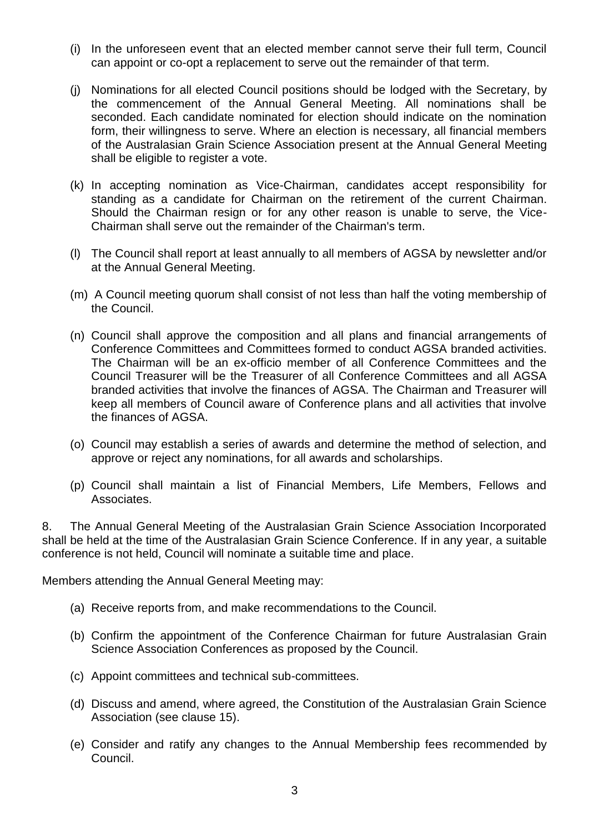- (i) In the unforeseen event that an elected member cannot serve their full term, Council can appoint or co-opt a replacement to serve out the remainder of that term.
- (j) Nominations for all elected Council positions should be lodged with the Secretary, by the commencement of the Annual General Meeting. All nominations shall be seconded. Each candidate nominated for election should indicate on the nomination form, their willingness to serve. Where an election is necessary, all financial members of the Australasian Grain Science Association present at the Annual General Meeting shall be eligible to register a vote.
- (k) In accepting nomination as Vice-Chairman, candidates accept responsibility for standing as a candidate for Chairman on the retirement of the current Chairman. Should the Chairman resign or for any other reason is unable to serve, the Vice-Chairman shall serve out the remainder of the Chairman's term.
- (l) The Council shall report at least annually to all members of AGSA by newsletter and/or at the Annual General Meeting.
- (m) A Council meeting quorum shall consist of not less than half the voting membership of the Council.
- (n) Council shall approve the composition and all plans and financial arrangements of Conference Committees and Committees formed to conduct AGSA branded activities. The Chairman will be an ex-officio member of all Conference Committees and the Council Treasurer will be the Treasurer of all Conference Committees and all AGSA branded activities that involve the finances of AGSA. The Chairman and Treasurer will keep all members of Council aware of Conference plans and all activities that involve the finances of AGSA.
- (o) Council may establish a series of awards and determine the method of selection, and approve or reject any nominations, for all awards and scholarships.
- (p) Council shall maintain a list of Financial Members, Life Members, Fellows and Associates.

8. The Annual General Meeting of the Australasian Grain Science Association Incorporated shall be held at the time of the Australasian Grain Science Conference. If in any year, a suitable conference is not held, Council will nominate a suitable time and place.

Members attending the Annual General Meeting may:

- (a) Receive reports from, and make recommendations to the Council.
- (b) Confirm the appointment of the Conference Chairman for future Australasian Grain Science Association Conferences as proposed by the Council.
- (c) Appoint committees and technical sub-committees.
- (d) Discuss and amend, where agreed, the Constitution of the Australasian Grain Science Association (see clause 15).
- (e) Consider and ratify any changes to the Annual Membership fees recommended by Council.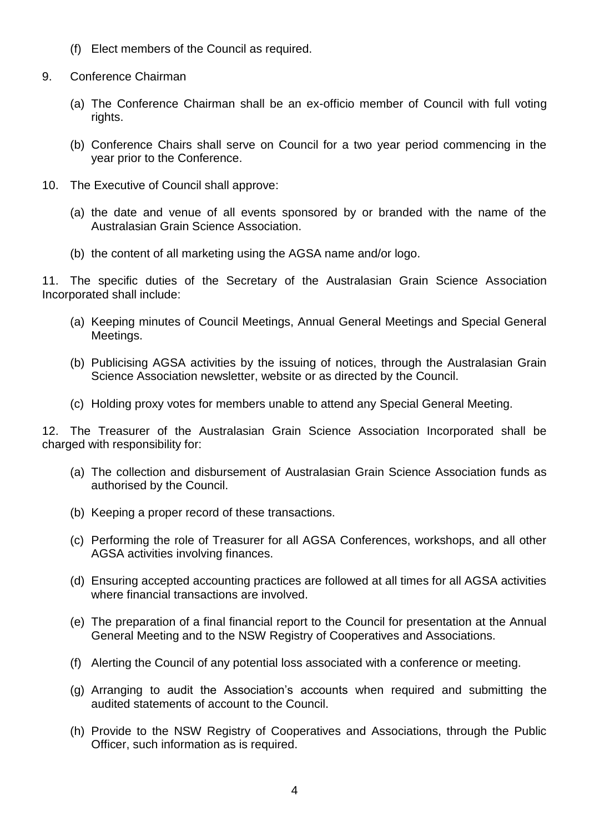- (f) Elect members of the Council as required.
- 9. Conference Chairman
	- (a) The Conference Chairman shall be an ex-officio member of Council with full voting rights.
	- (b) Conference Chairs shall serve on Council for a two year period commencing in the year prior to the Conference.
- 10. The Executive of Council shall approve:
	- (a) the date and venue of all events sponsored by or branded with the name of the Australasian Grain Science Association.
	- (b) the content of all marketing using the AGSA name and/or logo.

11. The specific duties of the Secretary of the Australasian Grain Science Association Incorporated shall include:

- (a) Keeping minutes of Council Meetings, Annual General Meetings and Special General Meetings.
- (b) Publicising AGSA activities by the issuing of notices, through the Australasian Grain Science Association newsletter, website or as directed by the Council.
- (c) Holding proxy votes for members unable to attend any Special General Meeting.

12. The Treasurer of the Australasian Grain Science Association Incorporated shall be charged with responsibility for:

- (a) The collection and disbursement of Australasian Grain Science Association funds as authorised by the Council.
- (b) Keeping a proper record of these transactions.
- (c) Performing the role of Treasurer for all AGSA Conferences, workshops, and all other AGSA activities involving finances.
- (d) Ensuring accepted accounting practices are followed at all times for all AGSA activities where financial transactions are involved.
- (e) The preparation of a final financial report to the Council for presentation at the Annual General Meeting and to the NSW Registry of Cooperatives and Associations.
- (f) Alerting the Council of any potential loss associated with a conference or meeting.
- (g) Arranging to audit the Association's accounts when required and submitting the audited statements of account to the Council.
- (h) Provide to the NSW Registry of Cooperatives and Associations, through the Public Officer, such information as is required.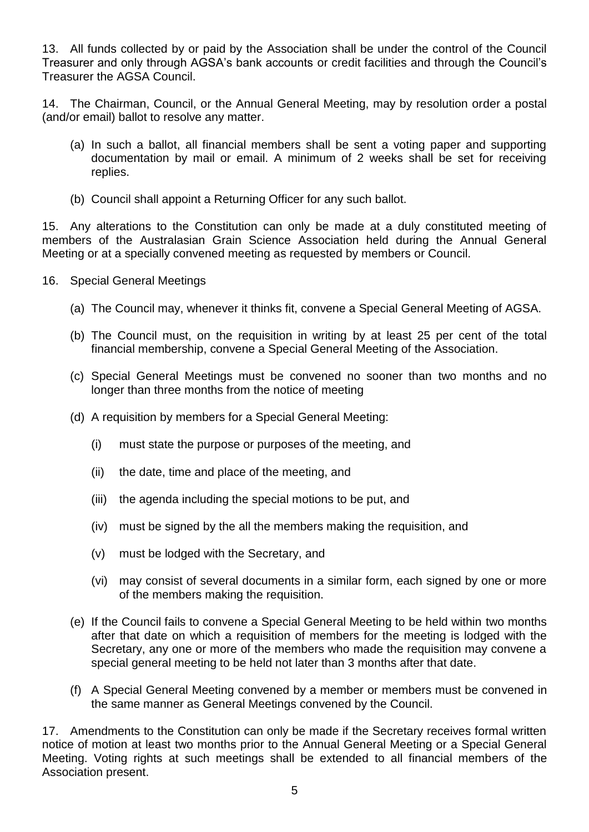13. All funds collected by or paid by the Association shall be under the control of the Council Treasurer and only through AGSA's bank accounts or credit facilities and through the Council's Treasurer the AGSA Council.

14. The Chairman, Council, or the Annual General Meeting, may by resolution order a postal (and/or email) ballot to resolve any matter.

- (a) In such a ballot, all financial members shall be sent a voting paper and supporting documentation by mail or email. A minimum of 2 weeks shall be set for receiving replies.
- (b) Council shall appoint a Returning Officer for any such ballot.

15. Any alterations to the Constitution can only be made at a duly constituted meeting of members of the Australasian Grain Science Association held during the Annual General Meeting or at a specially convened meeting as requested by members or Council.

- 16. Special General Meetings
	- (a) The Council may, whenever it thinks fit, convene a Special General Meeting of AGSA.
	- (b) The Council must, on the requisition in writing by at least 25 per cent of the total financial membership, convene a Special General Meeting of the Association.
	- (c) Special General Meetings must be convened no sooner than two months and no longer than three months from the notice of meeting
	- (d) A requisition by members for a Special General Meeting:
		- (i) must state the purpose or purposes of the meeting, and
		- (ii) the date, time and place of the meeting, and
		- (iii) the agenda including the special motions to be put, and
		- (iv) must be signed by the all the members making the requisition, and
		- (v) must be lodged with the Secretary, and
		- (vi) may consist of several documents in a similar form, each signed by one or more of the members making the requisition.
	- (e) If the Council fails to convene a Special General Meeting to be held within two months after that date on which a requisition of members for the meeting is lodged with the Secretary, any one or more of the members who made the requisition may convene a special general meeting to be held not later than 3 months after that date.
	- (f) A Special General Meeting convened by a member or members must be convened in the same manner as General Meetings convened by the Council.

17. Amendments to the Constitution can only be made if the Secretary receives formal written notice of motion at least two months prior to the Annual General Meeting or a Special General Meeting. Voting rights at such meetings shall be extended to all financial members of the Association present.